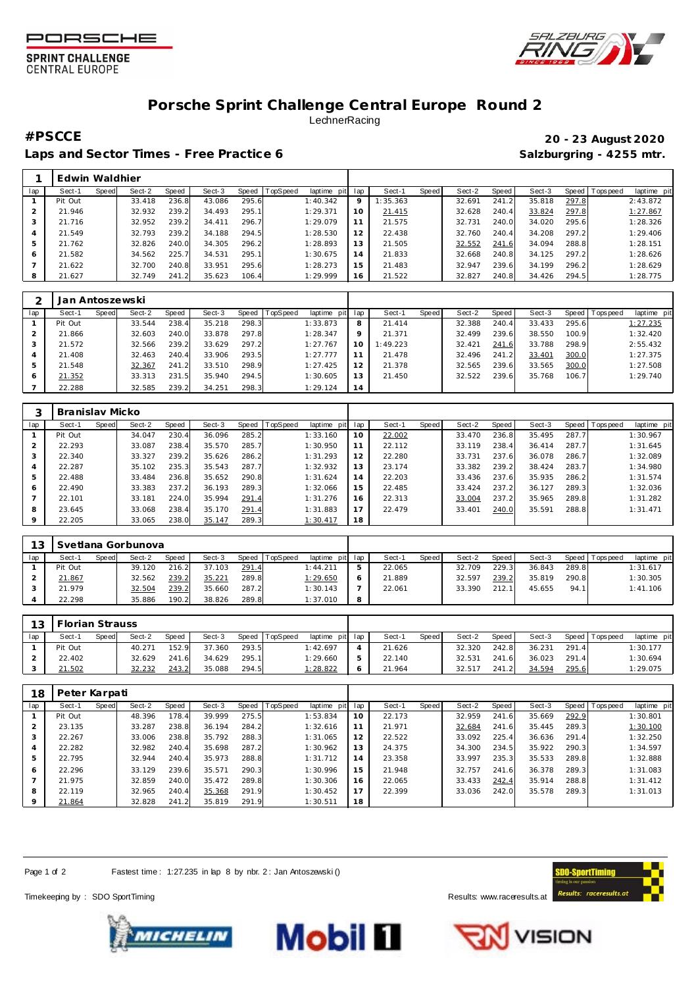





## **Porsche Sprint Challenge Central Europe Round 2 LechnerRacing**

Laps and Sector Times - Free Practice 6 **Salzburgring - 4255 mtr.** And Salzburgring - 4255 mtr.

## **#PSCCE 20 - 23 August 2020**

|     | Edwin Waldhier |       |        |       |        |       |                 |             |                |          |       |        |       |        |       |                 |             |
|-----|----------------|-------|--------|-------|--------|-------|-----------------|-------------|----------------|----------|-------|--------|-------|--------|-------|-----------------|-------------|
| lap | Sect-1         | Speed | Sect-2 | Speed | Sect-3 | Speed | <b>TopSpeed</b> | laptime pit | lap            | Sect-1   | Speed | Sect-2 | Speed | Sect-3 |       | Speed Tops peed | laptime pit |
|     | Pit Out        |       | 33.418 | 236.8 | 43.086 | 295.6 |                 | 1:40.342    | $\circ$        | 1:35.363 |       | 32.691 | 241.2 | 35.818 | 297.8 |                 | 2:43.872    |
|     | 21.946         |       | 32.932 | 239.2 | 34.493 | 295.1 |                 | 1:29.371    | 10             | 21.415   |       | 32.628 | 240.4 | 33.824 | 297.8 |                 | 1:27.867    |
|     | 21.716         |       | 32.952 | 239.2 | 34.411 | 296.7 |                 | 1:29.079    |                | 21.575   |       | 32.731 | 240.0 | 34.020 | 295.6 |                 | 1:28.326    |
| 4   | 21.549         |       | 32.793 | 239.2 | 34.188 | 294.5 |                 | 1:28.530    | 12             | 22.438   |       | 32.760 | 240.4 | 34.208 | 297.2 |                 | 1:29.406    |
|     | 21.762         |       | 32.826 | 240.0 | 34.305 | 296.2 |                 | 1:28.893    | 13             | 21.505   |       | 32.552 | 241.6 | 34.094 | 288.8 |                 | 1:28.151    |
| 6   | 21.582         |       | 34.562 | 225.7 | 34.531 | 295.1 |                 | 1:30.675    | $\overline{A}$ | 21.833   |       | 32.668 | 240.8 | 34.125 | 297.2 |                 | 1:28.626    |
|     | 21.622         |       | 32.700 | 240.8 | 33.951 | 295.6 |                 | 1:28.273    | 15             | 21.483   |       | 32.947 | 239.6 | 34.199 | 296.2 |                 | 1:28.629    |
| 8   | 21.627         |       | 32.749 | 241.2 | 35.623 | 106.4 |                 | 1:29.999    | 16             | 21.522   |       | 32.827 | 240.8 | 34.426 | 294.5 |                 | 1:28.775    |

|         | Jan Antoszewski |       |        |       |        |       |          |                 |         |          |       |        |       |        |       |                 |             |
|---------|-----------------|-------|--------|-------|--------|-------|----------|-----------------|---------|----------|-------|--------|-------|--------|-------|-----------------|-------------|
| lap     | Sect-1          | Speed | Sect-2 | Speed | Sect-3 | Speed | TopSpeed | laptime pit lap |         | Sect-1   | Speed | Sect-2 | Speed | Sect-3 |       | Speed Tops peed | laptime pit |
|         | Pit Out         |       | 33.544 | 238.4 | 35.218 | 298.3 |          | 1:33.873        | 8       | 21.414   |       | 32.388 | 240.4 | 33.433 | 295.6 |                 | 1:27.235    |
|         | 21.866          |       | 32.603 | 240.0 | 33.878 | 297.8 |          | 1:28.347        | $\circ$ | 21.371   |       | 32.499 | 239.6 | 38.550 | 100.9 |                 | 1:32.420    |
|         | 21.572          |       | 32.566 | 239.2 | 33.629 | 297.2 |          | 1:27.767        | 10      | 1:49.223 |       | 32.421 | 241.6 | 33.788 | 298.9 |                 | 2:55.432    |
|         | 21.408          |       | 32.463 | 240.4 | 33.906 | 293.5 |          | 1:27.777        |         | 21.478   |       | 32.496 | 241.2 | 33.401 | 300.0 |                 | 1:27.375    |
| 5       | 21.548          |       | 32.367 | 241.2 | 33.510 | 298.9 |          | 1:27.425        | 12      | 21.378   |       | 32.565 | 239.6 | 33.565 | 300.0 |                 | 1:27.508    |
| $\circ$ | 21.352          |       | 33.313 | 231.5 | 35.940 | 294.5 |          | 1:30.605        | 13      | 21.450   |       | 32.522 | 239.6 | 35.768 | 106.7 |                 | 1:29.740    |
|         | 22.288          |       | 32.585 | 239.2 | 34.251 | 298.3 |          | 1:29.124        | 14      |          |       |        |       |        |       |                 |             |

|         | Branislav Micko |       |        |       |        |       |          |             |     |        |       |        |       |        |       |                |             |
|---------|-----------------|-------|--------|-------|--------|-------|----------|-------------|-----|--------|-------|--------|-------|--------|-------|----------------|-------------|
| lap     | Sect-1          | Speed | Sect-2 | Speed | Sect-3 | Speed | TopSpeed | laptime pit | lap | Sect-1 | Speed | Sect-2 | Speed | Sect-3 |       | Speed Topspeed | laptime pit |
|         | Pit Out         |       | 34.047 | 230.4 | 36.096 | 285.2 |          | 1:33.160    | 10  | 22.002 |       | 33.470 | 236.8 | 35.495 | 287.7 |                | 1:30.967    |
|         | 22.293          |       | 33.087 | 238.4 | 35.570 | 285.7 |          | 1:30.950    | 11  | 22.112 |       | 33.119 | 238.4 | 36.414 | 287.7 |                | 1:31.645    |
| 3       | 22.340          |       | 33.327 | 239.2 | 35.626 | 286.2 |          | 1:31.293    | 12  | 22.280 |       | 33.731 | 237.6 | 36.078 | 286.7 |                | 1:32.089    |
| 4       | 22.287          |       | 35.102 | 235.3 | 35.543 | 287.7 |          | 1:32.932    | 13  | 23.174 |       | 33.382 | 239.2 | 38.424 | 283.7 |                | 1:34.980    |
| 5       | 22.488          |       | 33.484 | 236.8 | 35.652 | 290.8 |          | 1:31.624    | 14  | 22.203 |       | 33.436 | 237.6 | 35.935 | 286.2 |                | 1:31.574    |
| 6       | 22.490          |       | 33.383 | 237.2 | 36.193 | 289.3 |          | 1:32.066    | 15  | 22.485 |       | 33.424 | 237.2 | 36.127 | 289.3 |                | 1:32.036    |
|         | 22.101          |       | 33.181 | 224.0 | 35.994 | 291.4 |          | 1:31.276    | 16  | 22.313 |       | 33.004 | 237.2 | 35.965 | 289.8 |                | 1:31.282    |
| 8       | 23.645          |       | 33.068 | 238.4 | 35.170 | 291.4 |          | 1:31.883    | 17  | 22.479 |       | 33.401 | 240.0 | 35.591 | 288.8 |                | 1:31.471    |
| $\circ$ | 22.205          |       | 33.065 | 238.0 | 35.147 | 289.3 |          | 1:30.417    | 18  |        |       |        |       |        |       |                |             |

| 13  |         |       | Svetlana Gorbunova |       |        |       |                |                 |                          |        |       |        |       |        |       |                 |             |
|-----|---------|-------|--------------------|-------|--------|-------|----------------|-----------------|--------------------------|--------|-------|--------|-------|--------|-------|-----------------|-------------|
| lap | Sect-1  | Speed | Sect-2             | Speed | Sect-3 |       | Speed TopSpeed | laptime pit     | lap                      | Sect-1 | Speed | Sect-2 | Speed | Sect-3 |       | Speed Tops peed | laptime pit |
|     | Pit Out |       | 39.120             | 216.2 | 37.103 | 291.4 |                | 1:44.211        | $\overline{\phantom{a}}$ | 22.065 |       | 32.709 | 229.3 | 36.843 | 289.8 |                 | 1:31.617    |
|     | 21.867  |       | 32.562             | 239.2 | 35.221 | 289.8 |                | <u>1:29.650</u> | O                        | 21.889 |       | 32.597 | 239.2 | 35.819 | 290.8 |                 | 1:30.305    |
|     | 21.979  |       | 32.504             | 239.2 | 35.660 | 287.2 |                | 1:30.143        |                          | 22.061 |       | 33.390 | 212.1 | 45.655 | 94.1  |                 | 1:41.106    |
|     | 22.298  |       | 35.886             | 190.2 | 38.826 | 289.8 |                | 1:37.010        | 8                        |        |       |        |       |        |       |                 |             |

| 13  | <b>Florian Strauss</b> |       |        |       |        |       |                |                 |        |       |        |         |        |       |                   |             |
|-----|------------------------|-------|--------|-------|--------|-------|----------------|-----------------|--------|-------|--------|---------|--------|-------|-------------------|-------------|
| lan | Sect-1                 | Speed | Sect-2 | Speed | Sect-3 |       | Speed TopSpeed | laptime pit lap | Sect-1 | Speed | Sect-2 | Speed I | Sect-3 |       | Speed   Tops peed | laptime pit |
|     | Pit Out                |       | 40.271 | 152.9 | 37.360 | 293.5 |                | 1:42.697        | 21.626 |       | 32.320 | 242.8   | 36.231 | 291.4 |                   | 1:30.177    |
|     | 22.402                 |       | 32.629 | 241.6 | 34.629 | 295.1 |                | 1:29.660        | 22.140 |       | 32.531 | 241.6   | 36.023 | 291.4 |                   | 1:30.694    |
|     | 21.502                 |       | 32.232 | 243.2 | 35.088 | 294.5 |                | 1:28.822        | 21.964 |       | 32.517 | 241.2   | 34.594 | 295.6 |                   | 1:29.075    |

| 18      | Peter Karpati |       |        |       |        |       |          |             |     |        |       |        |       |        |       |                 |             |
|---------|---------------|-------|--------|-------|--------|-------|----------|-------------|-----|--------|-------|--------|-------|--------|-------|-----------------|-------------|
| lap     | Sect-1        | Speed | Sect-2 | Speed | Sect-3 | Speed | TopSpeed | laptime pit | lap | Sect-1 | Speed | Sect-2 | Speed | Sect-3 |       | Speed Tops peed | laptime pit |
|         | Pit Out       |       | 48.396 | 178.4 | 39.999 | 275.5 |          | 1:53.834    | 10  | 22.173 |       | 32.959 | 241.6 | 35.669 | 292.9 |                 | 1:30.801    |
|         | 23.135        |       | 33.287 | 238.8 | 36.194 | 284.2 |          | 1:32.616    |     | 21.971 |       | 32.684 | 241.6 | 35.445 | 289.3 |                 | 1:30.100    |
| 3       | 22.267        |       | 33.006 | 238.8 | 35.792 | 288.3 |          | 1:31.065    | 12  | 22.522 |       | 33.092 | 225.4 | 36.636 | 291.4 |                 | 1:32.250    |
| 4       | 22.282        |       | 32.982 | 240.4 | 35.698 | 287.2 |          | 1:30.962    | 13  | 24.375 |       | 34.300 | 234.5 | 35.922 | 290.3 |                 | 1:34.597    |
| 5       | 22.795        |       | 32.944 | 240.4 | 35.973 | 288.8 |          | 1:31.712    | 14  | 23.358 |       | 33.997 | 235.3 | 35.533 | 289.8 |                 | 1:32.888    |
| 6       | 22.296        |       | 33.129 | 239.6 | 35.571 | 290.3 |          | 1:30.996    | 15  | 21.948 |       | 32.757 | 241.6 | 36.378 | 289.3 |                 | 1:31.083    |
|         | 21.975        |       | 32.859 | 240.0 | 35.472 | 289.8 |          | 1:30.306    | 16  | 22.065 |       | 33.433 | 242.4 | 35.914 | 288.8 |                 | 1:31.412    |
| 8       | 22.119        |       | 32.965 | 240.4 | 35.368 | 291.9 |          | 1:30.452    | 17  | 22.399 |       | 33.036 | 242.0 | 35.578 | 289.3 |                 | 1:31.013    |
| $\circ$ | 21.864        |       | 32.828 | 241.2 | 35.819 | 291.9 |          | 1:30.511    | 18  |        |       |        |       |        |       |                 |             |

Page 1 of 2 Fastest time: 1:27.235 in lap 8 by nbr. 2: Jan Antoszewski ()

Timekeeping by : SDO SportTiming **Results: WWW.raceresults.at** 







**VISION**